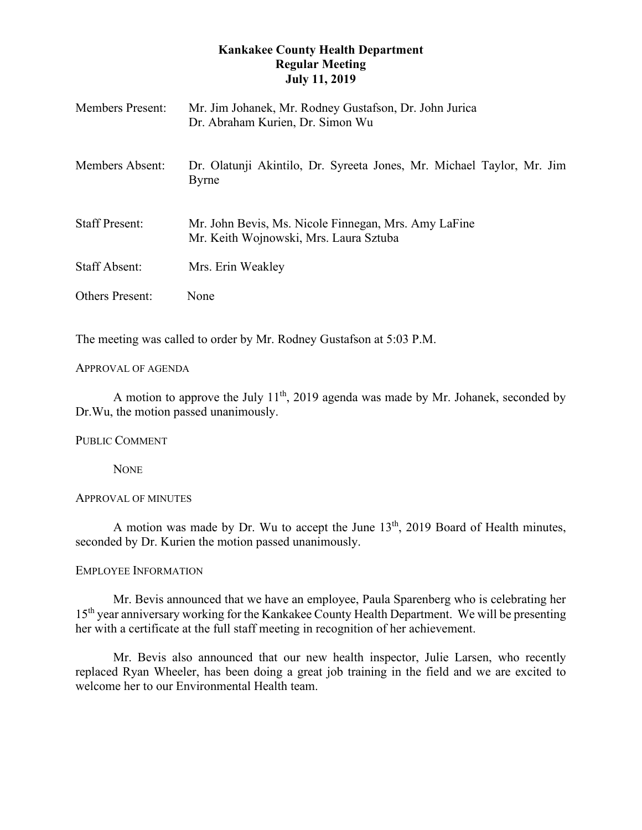# **Kankakee County Health Department Regular Meeting July 11, 2019**

| <b>Members Present:</b> | Mr. Jim Johanek, Mr. Rodney Gustafson, Dr. John Jurica<br>Dr. Abraham Kurien, Dr. Simon Wu     |
|-------------------------|------------------------------------------------------------------------------------------------|
| Members Absent:         | Dr. Olatunji Akintilo, Dr. Syreeta Jones, Mr. Michael Taylor, Mr. Jim<br>Byrne                 |
| <b>Staff Present:</b>   | Mr. John Bevis, Ms. Nicole Finnegan, Mrs. Amy LaFine<br>Mr. Keith Wojnowski, Mrs. Laura Sztuba |
| <b>Staff Absent:</b>    | Mrs. Erin Weakley                                                                              |
| <b>Others Present:</b>  | None                                                                                           |

The meeting was called to order by Mr. Rodney Gustafson at 5:03 P.M.

## APPROVAL OF AGENDA

A motion to approve the July  $11<sup>th</sup>$ , 2019 agenda was made by Mr. Johanek, seconded by Dr.Wu, the motion passed unanimously.

## PUBLIC COMMENT

**NONE** 

### APPROVAL OF MINUTES

A motion was made by Dr. Wu to accept the June  $13<sup>th</sup>$ , 2019 Board of Health minutes, seconded by Dr. Kurien the motion passed unanimously.

### EMPLOYEE INFORMATION

Mr. Bevis announced that we have an employee, Paula Sparenberg who is celebrating her 15<sup>th</sup> year anniversary working for the Kankakee County Health Department. We will be presenting her with a certificate at the full staff meeting in recognition of her achievement.

Mr. Bevis also announced that our new health inspector, Julie Larsen, who recently replaced Ryan Wheeler, has been doing a great job training in the field and we are excited to welcome her to our Environmental Health team.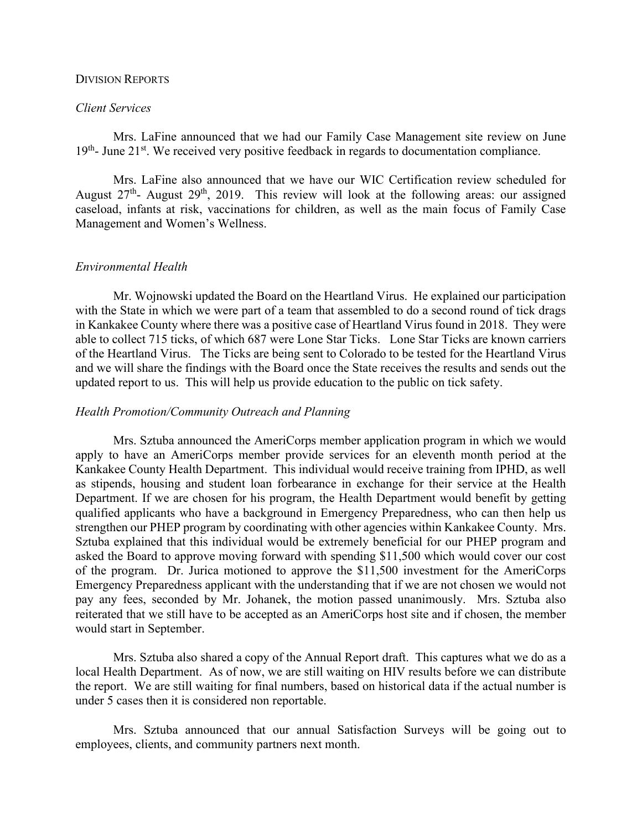#### DIVISION REPORTS

#### *Client Services*

Mrs. LaFine announced that we had our Family Case Management site review on June  $19<sup>th</sup>$ - June  $21<sup>st</sup>$ . We received very positive feedback in regards to documentation compliance.

Mrs. LaFine also announced that we have our WIC Certification review scheduled for August  $27<sup>th</sup>$ - August  $29<sup>th</sup>$ ,  $2019$ . This review will look at the following areas: our assigned caseload, infants at risk, vaccinations for children, as well as the main focus of Family Case Management and Women's Wellness.

### *Environmental Health*

Mr. Wojnowski updated the Board on the Heartland Virus. He explained our participation with the State in which we were part of a team that assembled to do a second round of tick drags in Kankakee County where there was a positive case of Heartland Virus found in 2018. They were able to collect 715 ticks, of which 687 were Lone Star Ticks. Lone Star Ticks are known carriers of the Heartland Virus. The Ticks are being sent to Colorado to be tested for the Heartland Virus and we will share the findings with the Board once the State receives the results and sends out the updated report to us. This will help us provide education to the public on tick safety.

#### *Health Promotion/Community Outreach and Planning*

Mrs. Sztuba announced the AmeriCorps member application program in which we would apply to have an AmeriCorps member provide services for an eleventh month period at the Kankakee County Health Department. This individual would receive training from IPHD, as well as stipends, housing and student loan forbearance in exchange for their service at the Health Department. If we are chosen for his program, the Health Department would benefit by getting qualified applicants who have a background in Emergency Preparedness, who can then help us strengthen our PHEP program by coordinating with other agencies within Kankakee County. Mrs. Sztuba explained that this individual would be extremely beneficial for our PHEP program and asked the Board to approve moving forward with spending \$11,500 which would cover our cost of the program. Dr. Jurica motioned to approve the \$11,500 investment for the AmeriCorps Emergency Preparedness applicant with the understanding that if we are not chosen we would not pay any fees, seconded by Mr. Johanek, the motion passed unanimously. Mrs. Sztuba also reiterated that we still have to be accepted as an AmeriCorps host site and if chosen, the member would start in September.

Mrs. Sztuba also shared a copy of the Annual Report draft. This captures what we do as a local Health Department. As of now, we are still waiting on HIV results before we can distribute the report. We are still waiting for final numbers, based on historical data if the actual number is under 5 cases then it is considered non reportable.

Mrs. Sztuba announced that our annual Satisfaction Surveys will be going out to employees, clients, and community partners next month.